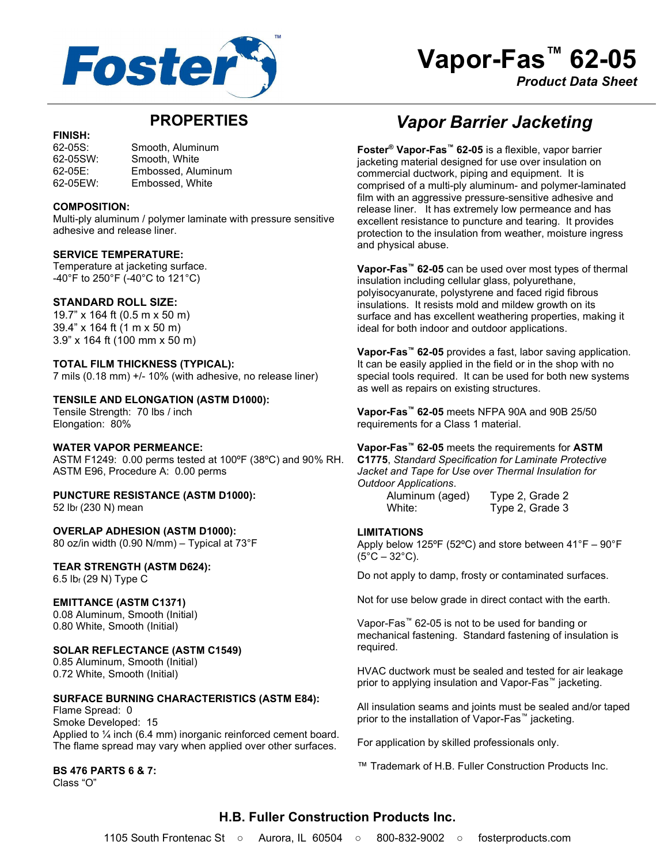

# Vapor-Fas<sup>™</sup> 62-05

Product Data Sheet

# PROPERTIES

#### FINISH:

62-05S: Smooth, Aluminum 62-05SW: Smooth, White 62-05E: Embossed, Aluminum 62-05EW: Embossed, White

#### COMPOSITION:

Multi-ply aluminum / polymer laminate with pressure sensitive adhesive and release liner.

#### SERVICE TEMPERATURE:

Temperature at jacketing surface. -40°F to 250°F (-40°C to 121°C)

#### STANDARD ROLL SIZE:

19.7" x 164 ft (0.5 m x 50 m) 39.4" x 164 ft (1 m x 50 m) 3.9" x 164 ft (100 mm x 50 m)

#### TOTAL FILM THICKNESS (TYPICAL):

7 mils (0.18 mm) +/- 10% (with adhesive, no release liner)

#### TENSILE AND ELONGATION (ASTM D1000):

Tensile Strength: 70 lbs / inch Elongation: 80%

#### WATER VAPOR PERMEANCE:

ASTM F1249: 0.00 perms tested at 100ºF (38ºC) and 90% RH. ASTM E96, Procedure A: 0.00 perms

# PUNCTURE RESISTANCE (ASTM D1000):

52 lbf (230 N) mean

OVERLAP ADHESION (ASTM D1000): 80 oz/in width (0.90 N/mm) – Typical at 73°F

#### TEAR STRENGTH (ASTM D624): 6.5 lbf (29 N) Type C

#### EMITTANCE (ASTM C1371)

0.08 Aluminum, Smooth (Initial) 0.80 White, Smooth (Initial)

#### SOLAR REFLECTANCE (ASTM C1549)

0.85 Aluminum, Smooth (Initial) 0.72 White, Smooth (Initial)

#### SURFACE BURNING CHARACTERISTICS (ASTM E84):

Flame Spread: 0 Smoke Developed: 15 Applied to ¼ inch (6.4 mm) inorganic reinforced cement board. The flame spread may vary when applied over other surfaces.

#### BS 476 PARTS 6 & 7:

Class "O"

# Vapor Barrier Jacketing

Foster® Vapor-Fas™ 62-05 is a flexible, vapor barrier jacketing material designed for use over insulation on commercial ductwork, piping and equipment. It is comprised of a multi-ply aluminum- and polymer-laminated film with an aggressive pressure-sensitive adhesive and release liner. It has extremely low permeance and has excellent resistance to puncture and tearing. It provides protection to the insulation from weather, moisture ingress and physical abuse.

Vapor-Fas<sup>™</sup> 62-05 can be used over most types of thermal insulation including cellular glass, polyurethane, polyisocyanurate, polystyrene and faced rigid fibrous insulations. It resists mold and mildew growth on its surface and has excellent weathering properties, making it ideal for both indoor and outdoor applications.

Vapor-Fas<sup>™</sup> 62-05 provides a fast, labor saving application. It can be easily applied in the field or in the shop with no special tools required. It can be used for both new systems as well as repairs on existing structures.

Vapor-Fas™ 62-05 meets NFPA 90A and 90B 25/50 requirements for a Class 1 material.

Vapor-Fas<sup>™</sup> 62-05 meets the requirements for ASTM C1775, Standard Specification for Laminate Protective Jacket and Tape for Use over Thermal Insulation for Outdoor Applications.

 Aluminum (aged) Type 2, Grade 2 White: Type 2, Grade 3

#### LIMITATIONS

Apply below 125ºF (52ºC) and store between 41°F – 90°F  $(5^{\circ}C - 32^{\circ}C)$ .

Do not apply to damp, frosty or contaminated surfaces.

Not for use below grade in direct contact with the earth.

Vapor-Fas™ 62-05 is not to be used for banding or mechanical fastening. Standard fastening of insulation is required.

HVAC ductwork must be sealed and tested for air leakage prior to applying insulation and Vapor-Fas™ jacketing.

All insulation seams and joints must be sealed and/or taped prior to the installation of Vapor-Fas<sup>™</sup> jacketing.

For application by skilled professionals only.

™ Trademark of H.B. Fuller Construction Products Inc.

# H.B. Fuller Construction Products Inc.